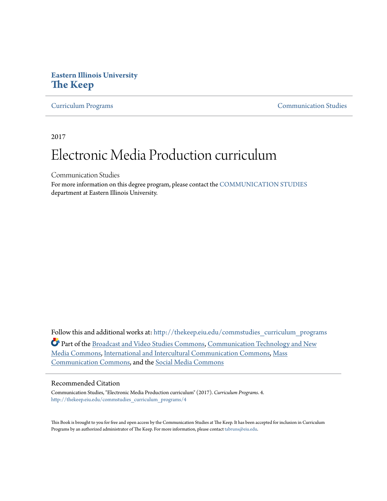## **Eastern Illinois University [The Keep](http://thekeep.eiu.edu?utm_source=thekeep.eiu.edu%2Fcommstudies_curriculum_programs%2F4&utm_medium=PDF&utm_campaign=PDFCoverPages)**

[Curriculum Programs](http://thekeep.eiu.edu/commstudies_curriculum_programs?utm_source=thekeep.eiu.edu%2Fcommstudies_curriculum_programs%2F4&utm_medium=PDF&utm_campaign=PDFCoverPages) [Communication Studies](http://thekeep.eiu.edu/commstudies?utm_source=thekeep.eiu.edu%2Fcommstudies_curriculum_programs%2F4&utm_medium=PDF&utm_campaign=PDFCoverPages)

2017

# Electronic Media Production curriculum

Communication Studies

For more information on this degree program, please contact the [COMMUNICATION STUDIES](https://www.eiu.edu/commstudies/index.php) department at Eastern Illinois University.

Follow this and additional works at: [http://thekeep.eiu.edu/commstudies\\_curriculum\\_programs](http://thekeep.eiu.edu/commstudies_curriculum_programs?utm_source=thekeep.eiu.edu%2Fcommstudies_curriculum_programs%2F4&utm_medium=PDF&utm_campaign=PDFCoverPages) Part of the [Broadcast and Video Studies Commons,](http://network.bepress.com/hgg/discipline/326?utm_source=thekeep.eiu.edu%2Fcommstudies_curriculum_programs%2F4&utm_medium=PDF&utm_campaign=PDFCoverPages) [Communication Technology and New](http://network.bepress.com/hgg/discipline/327?utm_source=thekeep.eiu.edu%2Fcommstudies_curriculum_programs%2F4&utm_medium=PDF&utm_campaign=PDFCoverPages) [Media Commons,](http://network.bepress.com/hgg/discipline/327?utm_source=thekeep.eiu.edu%2Fcommstudies_curriculum_programs%2F4&utm_medium=PDF&utm_campaign=PDFCoverPages) [International and Intercultural Communication Commons,](http://network.bepress.com/hgg/discipline/331?utm_source=thekeep.eiu.edu%2Fcommstudies_curriculum_programs%2F4&utm_medium=PDF&utm_campaign=PDFCoverPages) [Mass](http://network.bepress.com/hgg/discipline/334?utm_source=thekeep.eiu.edu%2Fcommstudies_curriculum_programs%2F4&utm_medium=PDF&utm_campaign=PDFCoverPages) [Communication Commons,](http://network.bepress.com/hgg/discipline/334?utm_source=thekeep.eiu.edu%2Fcommstudies_curriculum_programs%2F4&utm_medium=PDF&utm_campaign=PDFCoverPages) and the [Social Media Commons](http://network.bepress.com/hgg/discipline/1249?utm_source=thekeep.eiu.edu%2Fcommstudies_curriculum_programs%2F4&utm_medium=PDF&utm_campaign=PDFCoverPages)

#### Recommended Citation

Communication Studies, "Electronic Media Production curriculum" (2017). *Curriculum Programs*. 4. [http://thekeep.eiu.edu/commstudies\\_curriculum\\_programs/4](http://thekeep.eiu.edu/commstudies_curriculum_programs/4?utm_source=thekeep.eiu.edu%2Fcommstudies_curriculum_programs%2F4&utm_medium=PDF&utm_campaign=PDFCoverPages)

This Book is brought to you for free and open access by the Communication Studies at The Keep. It has been accepted for inclusion in Curriculum Programs by an authorized administrator of The Keep. For more information, please contact [tabruns@eiu.edu](mailto:tabruns@eiu.edu).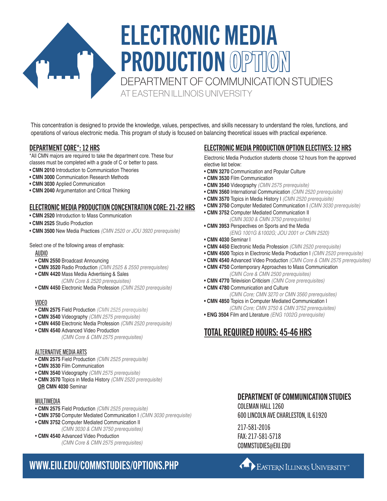# ELECTRONIC MEDIA PRODUCTION OPTION DEPARTMENT OF COMMUNICATION STUDIES AT EASTERN ILLINOIS UNIVERSITY

This concentration is designed to provide the knowledge, values, perspectives, and skills necessary to understand the roles, functions, and operations of various electronic media. This program of study is focused on balancing theoretical issues with practical experience.

### DEPARTMENT CORE\*: 12 HRS

\*All CMN majors are required to take the department core. These four classes must be completed with a grade of C or better to pass.

- **CMN 2010** Introduction to Communication Theories
- **CMN 3000** Communication Research Methods
- **CMN 3030** Applied Communication
- **CMN 2040** Argumentation and Critical Thinking

### ELECTRONIC MEDIA PRODUCTION CONCENTRATION CORE: 21-22 HRS

- **CMN 2520** Introduction to Mass Communication
- **CMN 2525** Studio Production
- **CMN 3500** New Media Practices *(CMN 2520 or JOU 3920 prerequisite)*

Select one of the following areas of emphasis:

#### AUDIO

- **CMN 2550** Broadcast Announcing
- **CMN 3520** Radio Production *(CMN 2525 & 2550 prerequisites)*
- **CMN 4420** Mass Media Advertising & Sales *(CMN Core & 2520 prerequisites)*
- **CMN 4450** Electronic Media Profession *(CMN 2520 prerequisite)*

#### VIDEO

- **CMN 2575** Field Production *(CMN 2525 prerequisite)*
- **CMN 3540** Videography *(CMN 2575 prerequisite)*
- **CMN 4450** Electronic Media Profession *(CMN 2520 prerequisite)*
- **CMN 4540** Advanced Video Production
	- *(CMN Core & CMN 2575 prerequisites)*

#### ALTERNATIVE MEDIA ARTS

- **CMN 2575** Field Production *(CMN 2525 prerequisite)*
- **CMN 3530** Film Communication
- **CMN 3540** Videography *(CMN 2575 prerequisite)*
- **CMN 3570** Topics in Media History *(CMN 2520 prerequisite)*  **OR CMN 4030** Seminar

#### MULTIMEDIA

- **CMN 2575** Field Production *(CMN 2525 prerequisite)*
- **CMN 3750** Computer Mediated Communication I *(CMN 3030 prerequisite)*
- **CMN 3752** Computer Mediated Communication II *(CMN 3030 & CMN 3750 prerequisites)*
- **CMN 4540** Advanced Video Production *(CMN Core & CMN 2575 prerequisites)*

### ELECTRONIC MEDIA PRODUCTION OPTION ELECTIVES: 12 HRS

Electronic Media Production students choose 12 hours from the approved elective list below:

- **CMN 3270** Communication and Popular Culture
- **CMN 3530** Film Communication
- **CMN 3540** Videography *(CMN 2575 prerequisite)*
- **CMN 3560** International Communication *(CMN 2520 prerequisite)*
- **CMN 3570** Topics in Media History I *(CMN 2520 prerequisite)*
- **CMN 3750** Computer Mediated Communication I *(CMN 3030 prerequisite)* **• CMN 3752** Computer Mediated Communication II
- *(CMN 3030 & CMN 3750 prerequisites)* **• CMN 3953** Perspectives on Sports and the Media
	- *(ENG 1001G &1002G; JOU 2001 or CMN 2520)*
- **CMN 4030** Seminar I
- **CMN 4450** Electronic Media Profession *(CMN 2520 prerequisite)*
- **CMN 4500** Topics in Electronic Media Production I *(CMN 2520 prerequisite)*
- **CMN 4540** Advanced Video Production *(CMN Core & CMN 2575 prerequisites)*
- **CMN 4750** Contemporary Approaches to Mass Communication *(CMN Core & CMN 2500 prerequisites)*
- **CMN 4770** Television Criticism *(CMN Core prerequisites)*
- **CMN 4780** Communication and Culture
- *(CMN Core; CMN 3270 or CMN 3560 prerequisites)* **• CMN 4850** Topics in Computer Mediated Communication I
	- *(CMN Core; CMN 3750 & CMN 3752 prerequisites)*
- **ENG 3504** Film and Literature *(ENG 1002G prerequisite)*

## TOTAL REQUIRED HOURS: 45-46 HRS

### DEPARTMENT OF COMMUNICATION STUDIES

COLEMAN HALL 1260 600 LINCOLN AVE CHARLESTON, IL 61920

217-581-2016 FAX: 217-581-5718 COMMSTUDIES@EIU.EDU

# WWW.EIU.EDU/COMMSTUDIES/OPTIONS.PHP

**CALLER EXPLEMENT AND RESERVED BY A LICENSITY**